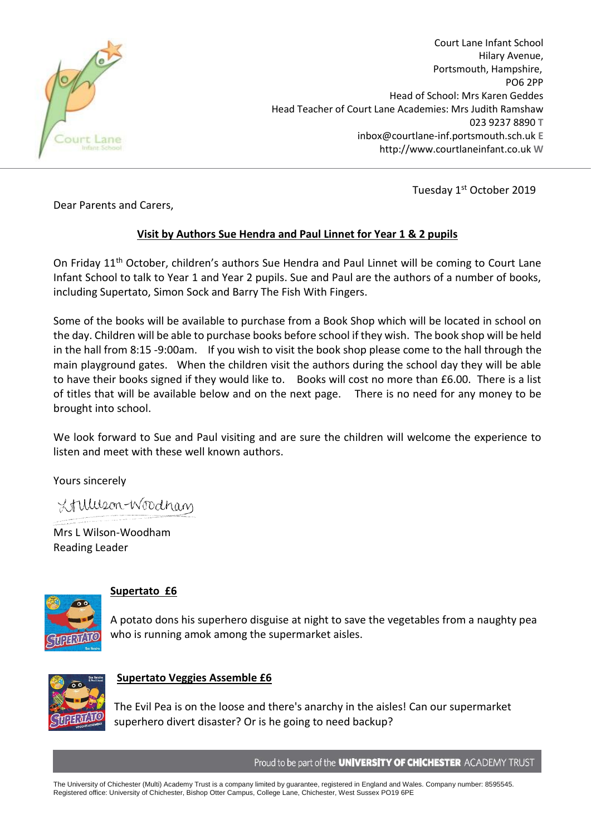

Court Lane Infant School Hilary Avenue, Portsmouth, Hampshire, PO6 2PP Head of School: Mrs Karen Geddes Head Teacher of Court Lane Academies: Mrs Judith Ramshaw 023 9237 8890 **T** inbox@courtlane-inf.portsmouth.sch.uk **E** http://www.courtlaneinfant.co.uk **W**

Tuesday 1<sup>st</sup> October 2019

Dear Parents and Carers,

# **Visit by Authors Sue Hendra and Paul Linnet for Year 1 & 2 pupils**

On Friday 11<sup>th</sup> October, children's authors Sue Hendra and Paul Linnet will be coming to Court Lane Infant School to talk to Year 1 and Year 2 pupils. Sue and Paul are the authors of a number of books, including Supertato, Simon Sock and Barry The Fish With Fingers.

Some of the books will be available to purchase from a Book Shop which will be located in school on the day. Children will be able to purchase books before school if they wish. The book shop will be held in the hall from 8:15 -9:00am. If you wish to visit the book shop please come to the hall through the main playground gates. When the children visit the authors during the school day they will be able to have their books signed if they would like to. Books will cost no more than £6.00. There is a list of titles that will be available below and on the next page. There is no need for any money to be brought into school.

We look forward to Sue and Paul visiting and are sure the children will welcome the experience to listen and meet with these well known authors.

Yours sincerely

Lilleson-Woodham

Mrs L Wilson-Woodham Reading Leader



# **Supertato £6**

A potato dons his superhero disguise at night to save the vegetables from a naughty pea who is running amok among the supermarket aisles.



## **Supertato Veggies Assemble £6**

The Evil Pea is on the loose and there's anarchy in the aisles! Can our supermarket superhero divert disaster? Or is he going to need backup?

Proud to be part of the **UNIVERSITY OF CHICHESTER** ACADEMY TRUST

The University of Chichester (Multi) Academy Trust is a company limited by guarantee, registered in England and Wales. Company number: 8595545. Registered office: University of Chichester, Bishop Otter Campus, College Lane, Chichester, West Sussex PO19 6PE